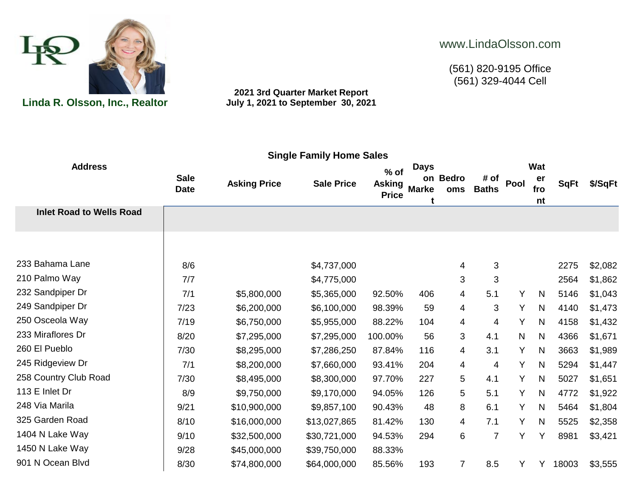

**2021 3rd Quarter Market Report Linda R. Olsson, Inc., Realtor July 1, 2021 to September 30, 2021**

## www.LindaOlsson.com

(561) 820-9195 Office  $(561)$  329-4044 Cell

|                                 |                            | <b>Single Family Home Sales</b> |                   |                                         |                             |                 |                      |      |                               |             |         |
|---------------------------------|----------------------------|---------------------------------|-------------------|-----------------------------------------|-----------------------------|-----------------|----------------------|------|-------------------------------|-------------|---------|
| <b>Address</b>                  | <b>Sale</b><br><b>Date</b> | <b>Asking Price</b>             | <b>Sale Price</b> | $%$ of<br><b>Asking</b><br><b>Price</b> | <b>Days</b><br><b>Marke</b> | on Bedro<br>oms | # of<br><b>Baths</b> | Pool | <b>Wat</b><br>er<br>fro<br>nt | <b>SqFt</b> | \$/SqFt |
| <b>Inlet Road to Wells Road</b> |                            |                                 |                   |                                         |                             |                 |                      |      |                               |             |         |
|                                 |                            |                                 |                   |                                         |                             |                 |                      |      |                               |             |         |
| 233 Bahama Lane                 | 8/6                        |                                 | \$4,737,000       |                                         |                             | 4               | 3                    |      |                               | 2275        | \$2,082 |
| 210 Palmo Way                   | 7/7                        |                                 | \$4,775,000       |                                         |                             | $\sqrt{3}$      | $\sqrt{3}$           |      |                               | 2564        | \$1,862 |
| 232 Sandpiper Dr                | 7/1                        | \$5,800,000                     | \$5,365,000       | 92.50%                                  | 406                         | 4               | 5.1                  | Y    | N                             | 5146        | \$1,043 |
| 249 Sandpiper Dr                | 7/23                       | \$6,200,000                     | \$6,100,000       | 98.39%                                  | 59                          | 4               | 3                    | Y    | N                             | 4140        | \$1,473 |
| 250 Osceola Way                 | 7/19                       | \$6,750,000                     | \$5,955,000       | 88.22%                                  | 104                         | 4               | 4                    | Υ    | N                             | 4158        | \$1,432 |
| 233 Miraflores Dr               | 8/20                       | \$7,295,000                     | \$7,295,000       | 100.00%                                 | 56                          | 3               | 4.1                  | N    | N                             | 4366        | \$1,671 |
| 260 El Pueblo                   | 7/30                       | \$8,295,000                     | \$7,286,250       | 87.84%                                  | 116                         | 4               | 3.1                  | Y    | N                             | 3663        | \$1,989 |
| 245 Ridgeview Dr                | 7/1                        | \$8,200,000                     | \$7,660,000       | 93.41%                                  | 204                         | 4               | 4                    | Υ    | N                             | 5294        | \$1,447 |
| 258 Country Club Road           | 7/30                       | \$8,495,000                     | \$8,300,000       | 97.70%                                  | 227                         | 5               | 4.1                  | Y    | N                             | 5027        | \$1,651 |
| 113 E Inlet Dr                  | 8/9                        | \$9,750,000                     | \$9,170,000       | 94.05%                                  | 126                         | 5               | 5.1                  | Y    | N                             | 4772        | \$1,922 |
| 248 Via Marila                  | 9/21                       | \$10,900,000                    | \$9,857,100       | 90.43%                                  | 48                          | 8               | 6.1                  | Y    | N                             | 5464        | \$1,804 |
| 325 Garden Road                 | 8/10                       | \$16,000,000                    | \$13,027,865      | 81.42%                                  | 130                         | 4               | 7.1                  | Y    | N                             | 5525        | \$2,358 |
| 1404 N Lake Way                 | 9/10                       | \$32,500,000                    | \$30,721,000      | 94.53%                                  | 294                         | 6               | 7                    | Y    | Y                             | 8981        | \$3,421 |
| 1450 N Lake Way                 | 9/28                       | \$45,000,000                    | \$39,750,000      | 88.33%                                  |                             |                 |                      |      |                               |             |         |
| 901 N Ocean Blvd                | 8/30                       | \$74,800,000                    | \$64,000,000      | 85.56%                                  | 193                         | 7               | 8.5                  | Y    | Y                             | 18003       | \$3,555 |
|                                 |                            |                                 |                   |                                         |                             |                 |                      |      |                               |             |         |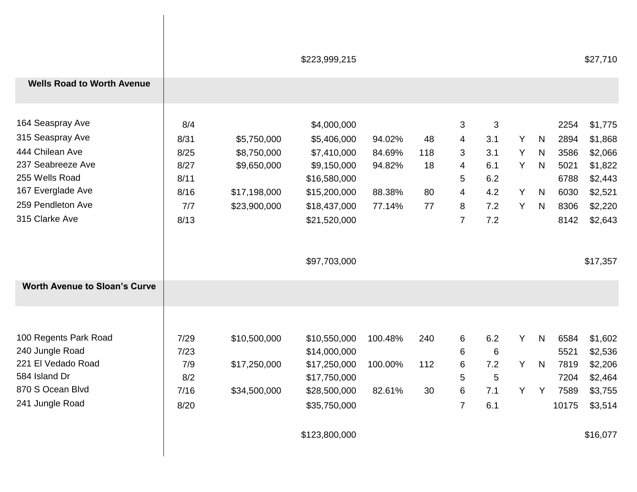| <b>Wells Road to Worth Avenue</b>                                                                                                                          |                                                            |                                                                           | \$223,999,215                                                                                                            |                                                |                             |                                                   |                                                    |                       |                       |                                                              | \$27,710                                                                             |
|------------------------------------------------------------------------------------------------------------------------------------------------------------|------------------------------------------------------------|---------------------------------------------------------------------------|--------------------------------------------------------------------------------------------------------------------------|------------------------------------------------|-----------------------------|---------------------------------------------------|----------------------------------------------------|-----------------------|-----------------------|--------------------------------------------------------------|--------------------------------------------------------------------------------------|
| 164 Seaspray Ave<br>315 Seaspray Ave<br>444 Chilean Ave<br>237 Seabreeze Ave<br>255 Wells Road<br>167 Everglade Ave<br>259 Pendleton Ave<br>315 Clarke Ave | 8/4<br>8/31<br>8/25<br>8/27<br>8/11<br>8/16<br>7/7<br>8/13 | \$5,750,000<br>\$8,750,000<br>\$9,650,000<br>\$17,198,000<br>\$23,900,000 | \$4,000,000<br>\$5,406,000<br>\$7,410,000<br>\$9,150,000<br>\$16,580,000<br>\$15,200,000<br>\$18,437,000<br>\$21,520,000 | 94.02%<br>84.69%<br>94.82%<br>88.38%<br>77.14% | 48<br>118<br>18<br>80<br>77 | 3<br>4<br>3<br>4<br>5<br>4<br>8<br>$\overline{7}$ | 3<br>3.1<br>3.1<br>6.1<br>6.2<br>4.2<br>7.2<br>7.2 | Y<br>Y<br>Y<br>Y<br>Y | N<br>N<br>N<br>N<br>N | 2254<br>2894<br>3586<br>5021<br>6788<br>6030<br>8306<br>8142 | \$1,775<br>\$1,868<br>\$2,066<br>\$1,822<br>\$2,443<br>\$2,521<br>\$2,220<br>\$2,643 |
| <b>Worth Avenue to Sloan's Curve</b>                                                                                                                       |                                                            |                                                                           | \$97,703,000                                                                                                             |                                                |                             |                                                   |                                                    |                       |                       |                                                              | \$17,357                                                                             |
| 100 Regents Park Road<br>240 Jungle Road<br>221 El Vedado Road<br>584 Island Dr<br>870 S Ocean Blvd<br>241 Jungle Road                                     | 7/29<br>7/23<br>7/9<br>8/2<br>7/16<br>8/20                 | \$10,500,000<br>\$17,250,000<br>\$34,500,000                              | \$10,550,000<br>\$14,000,000<br>\$17,250,000<br>\$17,750,000<br>\$28,500,000<br>\$35,750,000                             | 100.48%<br>100.00%<br>82.61%                   | 240<br>112<br>30            | 6<br>6<br>6<br>5<br>6<br>$\overline{7}$           | 6.2<br>6<br>7.2<br>5<br>7.1<br>6.1                 | Y<br>Y<br>Y           | N<br>N<br>Y           | 6584<br>5521<br>7819<br>7204<br>7589<br>10175                | \$1,602<br>\$2,536<br>\$2,206<br>\$2,464<br>\$3,755<br>\$3,514                       |
|                                                                                                                                                            |                                                            |                                                                           | \$123,800,000                                                                                                            |                                                |                             |                                                   |                                                    |                       |                       |                                                              | \$16,077                                                                             |

 $\mathbf{I}$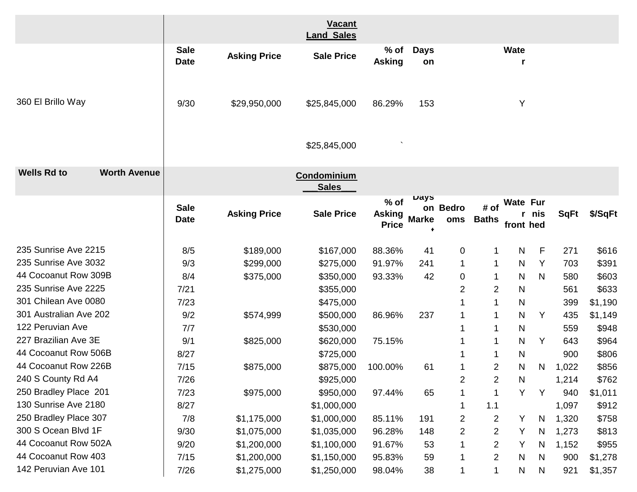|                                           |                            |                     | <b>Vacant</b><br><b>Land Sales</b> |                                         |                                          |                 |                         |                              |       |             |         |
|-------------------------------------------|----------------------------|---------------------|------------------------------------|-----------------------------------------|------------------------------------------|-----------------|-------------------------|------------------------------|-------|-------------|---------|
|                                           | <b>Sale</b><br><b>Date</b> | <b>Asking Price</b> | <b>Sale Price</b>                  | $%$ of<br><b>Asking</b>                 | <b>Days</b><br>on                        |                 |                         | <b>Wate</b><br>r             |       |             |         |
| 360 El Brillo Way                         | 9/30                       | \$29,950,000        | \$25,845,000                       | 86.29%                                  | 153                                      |                 |                         | Υ                            |       |             |         |
|                                           |                            |                     | \$25,845,000                       |                                         |                                          |                 |                         |                              |       |             |         |
| <b>Wells Rd to</b><br><b>Worth Avenue</b> |                            |                     | Condominium<br><b>Sales</b>        |                                         |                                          |                 |                         |                              |       |             |         |
|                                           | <b>Sale</b><br><b>Date</b> | <b>Asking Price</b> | <b>Sale Price</b>                  | $%$ of<br><b>Asking</b><br><b>Price</b> | Days<br><b>Marke</b><br>$\ddot{\bullet}$ | on Bedro<br>oms | # of<br><b>Baths</b>    | <b>Wate Fur</b><br>front hed | r nis | <b>SqFt</b> | \$/SqFt |
| 235 Sunrise Ave 2215                      | 8/5                        | \$189,000           | \$167,000                          | 88.36%                                  | 41                                       | 0               | 1                       | $\mathsf{N}$                 | F     | 271         | \$616   |
| 235 Sunrise Ave 3032                      | 9/3                        | \$299,000           | \$275,000                          | 91.97%                                  | 241                                      | 1               | 1                       | N                            | Y     | 703         | \$391   |
| 44 Cocoanut Row 309B                      | 8/4                        | \$375,000           | \$350,000                          | 93.33%                                  | 42                                       | 0               | 1                       | N                            | N     | 580         | \$603   |
| 235 Sunrise Ave 2225                      | 7/21                       |                     | \$355,000                          |                                         |                                          | 2               | $\overline{2}$          | $\mathsf{N}$                 |       | 561         | \$633   |
| 301 Chilean Ave 0080                      | 7/23                       |                     | \$475,000                          |                                         |                                          |                 | 1                       | N                            |       | 399         | \$1,190 |
| 301 Australian Ave 202                    | 9/2                        | \$574,999           | \$500,000                          | 86.96%                                  | 237                                      | 1               |                         | N                            | Y     | 435         | \$1,149 |
| 122 Peruvian Ave                          | 7/7                        |                     | \$530,000                          |                                         |                                          |                 | 1                       | N                            |       | 559         | \$948   |
| 227 Brazilian Ave 3E                      | 9/1                        | \$825,000           | \$620,000                          | 75.15%                                  |                                          |                 |                         | N                            | Υ     | 643         | \$964   |
| 44 Cocoanut Row 506B                      | 8/27                       |                     | \$725,000                          |                                         |                                          |                 | 1                       | N                            |       | 900         | \$806   |
| 44 Cocoanut Row 226B                      | 7/15                       | \$875,000           | \$875,000                          | 100.00%                                 | 61                                       | 1               | $\overline{2}$          | N                            | N     | 1,022       | \$856   |
| 240 S County Rd A4                        | 7/26                       |                     | \$925,000                          |                                         |                                          | $\overline{2}$  | $\overline{2}$          | N                            |       | 1,214       | \$762   |
| 250 Bradley Place 201                     | 7/23                       | \$975,000           | \$950,000                          | 97.44%                                  | 65                                       |                 |                         | Y                            | Y     | 940         | \$1,011 |
| 130 Sunrise Ave 2180                      | 8/27                       |                     | \$1,000,000                        |                                         |                                          |                 | 1.1                     |                              |       | 1,097       | \$912   |
| 250 Bradley Place 307                     | 7/8                        | \$1,175,000         | \$1,000,000                        | 85.11%                                  | 191                                      | 2               | 2                       | Y                            | N     | 1,320       | \$758   |
| 300 S Ocean Blvd 1F                       | 9/30                       | \$1,075,000         | \$1,035,000                        | 96.28%                                  | 148                                      | 2               | 2                       | Y                            | N     | 1,273       | \$813   |
| 44 Cocoanut Row 502A                      | 9/20                       | \$1,200,000         | \$1,100,000                        | 91.67%                                  | 53                                       |                 | 2                       | Y                            | N     | 1,152       | \$955   |
| 44 Cocoanut Row 403                       | 7/15                       | \$1,200,000         | \$1,150,000                        | 95.83%                                  | 59                                       |                 | $\overline{\mathbf{c}}$ | N                            | N     | 900         | \$1,278 |
| 142 Peruvian Ave 101                      | 7/26                       | \$1,275,000         | \$1,250,000                        | 98.04%                                  | 38                                       | 1               | 1                       | N                            | N     | 921         | \$1,357 |